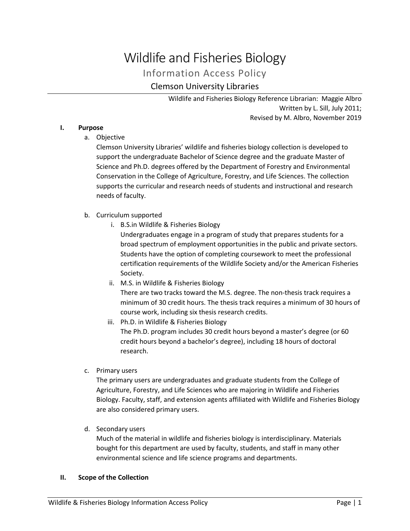# Wildlife and Fisheries Biology

Information Access Policy

# Clemson University Libraries

Wildlife and Fisheries Biology Reference Librarian: Maggie Albro Written by L. Sill, July 2011; Revised by M. Albro, November 2019

### **I. Purpose**

a. Objective

Clemson University Libraries' wildlife and fisheries biology collection is developed to support the undergraduate Bachelor of Science degree and the graduate Master of Science and Ph.D. degrees offered by the Department of Forestry and Environmental Conservation in the College of Agriculture, Forestry, and Life Sciences. The collection supports the curricular and research needs of students and instructional and research needs of faculty.

# b. Curriculum supported

i. B.S.in Wildlife & Fisheries Biology

Undergraduates engage in a program of study that prepares students for a broad spectrum of employment opportunities in the public and private sectors. Students have the option of completing coursework to meet the professional certification requirements of the Wildlife Society and/or the American Fisheries Society.

- ii. M.S. in Wildlife & Fisheries Biology There are two tracks toward the M.S. degree. The non-thesis track requires a minimum of 30 credit hours. The thesis track requires a minimum of 30 hours of course work, including six thesis research credits.
- iii. Ph.D. in Wildlife & Fisheries Biology The Ph.D. program includes 30 credit hours beyond a master's degree (or 60 credit hours beyond a bachelor's degree), including 18 hours of doctoral research.
- c. Primary users

The primary users are undergraduates and graduate students from the College of Agriculture, Forestry, and Life Sciences who are majoring in Wildlife and Fisheries Biology. Faculty, staff, and extension agents affiliated with Wildlife and Fisheries Biology are also considered primary users.

d. Secondary users

Much of the material in wildlife and fisheries biology is interdisciplinary. Materials bought for this department are used by faculty, students, and staff in many other environmental science and life science programs and departments.

### **II. Scope of the Collection**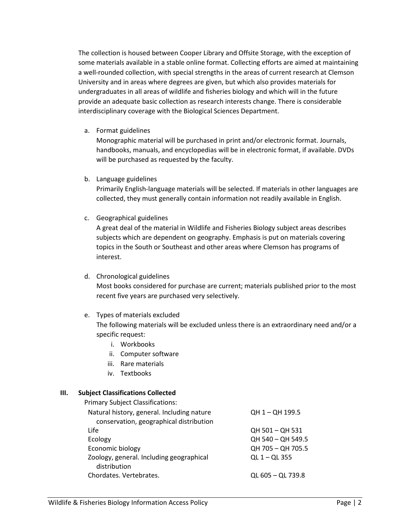The collection is housed between Cooper Library and Offsite Storage, with the exception of some materials available in a stable online format. Collecting efforts are aimed at maintaining a well-rounded collection, with special strengths in the areas of current research at Clemson University and in areas where degrees are given, but which also provides materials for undergraduates in all areas of wildlife and fisheries biology and which will in the future provide an adequate basic collection as research interests change. There is considerable interdisciplinary coverage with the Biological Sciences Department.

a. Format guidelines

Monographic material will be purchased in print and/or electronic format. Journals, handbooks, manuals, and encyclopedias will be in electronic format, if available. DVDs will be purchased as requested by the faculty.

b. Language guidelines

Primarily English-language materials will be selected. If materials in other languages are collected, they must generally contain information not readily available in English.

c. Geographical guidelines

A great deal of the material in Wildlife and Fisheries Biology subject areas describes subjects which are dependent on geography. Emphasis is put on materials covering topics in the South or Southeast and other areas where Clemson has programs of interest.

d. Chronological guidelines

Most books considered for purchase are current; materials published prior to the most recent five years are purchased very selectively.

# e. Types of materials excluded

The following materials will be excluded unless there is an extraordinary need and/or a specific request:

- i. Workbooks
- ii. Computer software
- iii. Rare materials
- iv. Textbooks

# **III. Subject Classifications Collected**

| <b>Primary Subject Classifications:</b>                                               |                     |
|---------------------------------------------------------------------------------------|---------------------|
| Natural history, general. Including nature<br>conservation, geographical distribution | OH 1 - OH 199.5     |
| Life                                                                                  | QH 501 - QH 531     |
| Ecology                                                                               | QH 540 - QH 549.5   |
| Economic biology                                                                      | QH 705 - QH 705.5   |
| Zoology, general. Including geographical<br>distribution                              | $QL 1 - QL 355$     |
| Chordates. Vertebrates.                                                               | $QL 605 - OL 739.8$ |
|                                                                                       |                     |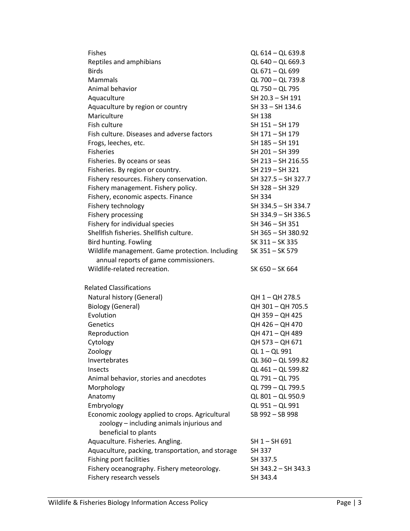| <b>Fishes</b>                                     | QL 614 - QL 639.8   |
|---------------------------------------------------|---------------------|
| Reptiles and amphibians                           | QL 640 - QL 669.3   |
| <b>Birds</b>                                      | QL 671 - QL 699     |
| Mammals                                           | QL 700 - QL 739.8   |
| Animal behavior                                   | QL 750 - QL 795     |
| Aquaculture                                       | SH 20.3 - SH 191    |
| Aquaculture by region or country                  | SH 33 - SH 134.6    |
| Mariculture                                       | <b>SH 138</b>       |
| Fish culture                                      | SH 151 - SH 179     |
| Fish culture. Diseases and adverse factors        | SH 171 - SH 179     |
| Frogs, leeches, etc.                              | SH 185 - SH 191     |
| <b>Fisheries</b>                                  | SH 201 - SH 399     |
| Fisheries. By oceans or seas                      | SH 213 - SH 216.55  |
| Fisheries. By region or country.                  | SH 219 - SH 321     |
| Fishery resources. Fishery conservation.          | SH 327.5 - SH 327.7 |
| Fishery management. Fishery policy.               | SH 328 - SH 329     |
| Fishery, economic aspects. Finance                | <b>SH 334</b>       |
| Fishery technology                                | SH 334.5 - SH 334.7 |
| Fishery processing                                | SH 334.9 - SH 336.5 |
| Fishery for individual species                    | SH 346 - SH 351     |
| Shellfish fisheries. Shellfish culture.           | SH 365 - SH 380.92  |
| Bird hunting. Fowling                             | SK 311 - SK 335     |
| Wildlife management. Game protection. Including   | SK 351 - SK 579     |
| annual reports of game commissioners.             |                     |
| Wildlife-related recreation.                      | SK 650 - SK 664     |
|                                                   |                     |
| <b>Related Classifications</b>                    |                     |
| Natural history (General)                         | QH 1 - QH 278.5     |
| <b>Biology (General)</b>                          | QH 301 - QH 705.5   |
| Evolution                                         | QH 359 - QH 425     |
| Genetics                                          | QH 426 - QH 470     |
| Reproduction                                      | QH 471 - QH 489     |
| Cytology                                          | QH 573 - QH 671     |
| Zoology                                           | QL 1 - QL 991       |
| Invertebrates                                     | QL 360 - QL 599.82  |
| Insects                                           | QL 461 - QL 599.82  |
| Animal behavior, stories and anecdotes            | QL 791 - QL 795     |
| Morphology                                        | QL 799 - QL 799.5   |
| Anatomy                                           | QL 801 - QL 950.9   |
| Embryology                                        | QL 951 - QL 991     |
| Economic zoology applied to crops. Agricultural   | SB 992 - SB 998     |
| zoology - including animals injurious and         |                     |
| beneficial to plants                              |                     |
| Aquaculture. Fisheries. Angling.                  | SH 1-SH 691         |
| Aquaculture, packing, transportation, and storage | SH 337              |
|                                                   |                     |
| <b>Fishing port facilities</b>                    | SH 337.5            |
| Fishery oceanography. Fishery meteorology.        | SH 343.2 - SH 343.3 |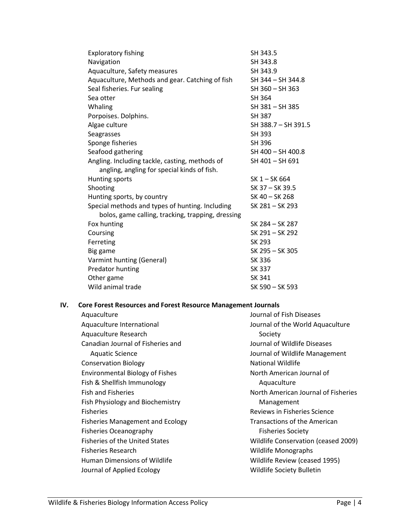| <b>Exploratory fishing</b>                                                                    | SH 343.5            |
|-----------------------------------------------------------------------------------------------|---------------------|
| Navigation                                                                                    | SH 343.8            |
| Aquaculture, Safety measures                                                                  | SH 343.9            |
| Aquaculture, Methods and gear. Catching of fish                                               | SH 344 - SH 344.8   |
| Seal fisheries. Fur sealing                                                                   | SH 360 - SH 363     |
| Sea otter                                                                                     | SH 364              |
| Whaling                                                                                       | SH 381 - SH 385     |
| Porpoises. Dolphins.                                                                          | SH 387              |
| Algae culture                                                                                 | SH 388.7 - SH 391.5 |
| Seagrasses                                                                                    | <b>SH 393</b>       |
| Sponge fisheries                                                                              | SH 396              |
| Seafood gathering                                                                             | SH 400 - SH 400.8   |
| Angling. Including tackle, casting, methods of<br>angling, angling for special kinds of fish. | SH 401 - SH 691     |
| Hunting sports                                                                                | SK 1 – SK 664       |
| Shooting                                                                                      | SK 37 - SK 39.5     |
| Hunting sports, by country                                                                    | SK 40 - SK 268      |
| Special methods and types of hunting. Including                                               | SK 281 - SK 293     |
| bolos, game calling, tracking, trapping, dressing                                             |                     |
| Fox hunting                                                                                   | SK 284 – SK 287     |
| Coursing                                                                                      | SK 291 – SK 292     |
| Ferreting                                                                                     | SK 293              |
| Big game                                                                                      | SK 295 - SK 305     |
| <b>Varmint hunting (General)</b>                                                              | SK 336              |
| <b>Predator hunting</b>                                                                       | SK 337              |
| Other game                                                                                    | SK 341              |
| Wild animal trade                                                                             | SK 590 - SK 593     |
|                                                                                               |                     |

# **IV. Core Forest Resources and Forest Resource Management Journals**

| Aquaculture                             | Journal of Fish Diseases            |
|-----------------------------------------|-------------------------------------|
| Aquaculture International               | Journal of the World Aquaculture    |
| Aquaculture Research                    | Society                             |
| Canadian Journal of Fisheries and       | Journal of Wildlife Diseases        |
| <b>Aquatic Science</b>                  | Journal of Wildlife Management      |
| <b>Conservation Biology</b>             | National Wildlife                   |
| <b>Environmental Biology of Fishes</b>  | North American Journal of           |
| Fish & Shellfish Immunology             | Aquaculture                         |
| <b>Fish and Fisheries</b>               | North American Journal of Fisheries |
| Fish Physiology and Biochemistry        | Management                          |
| <b>Fisheries</b>                        | Reviews in Fisheries Science        |
| <b>Fisheries Management and Ecology</b> | Transactions of the American        |
| <b>Fisheries Oceanography</b>           | <b>Fisheries Society</b>            |
| <b>Fisheries of the United States</b>   | Wildlife Conservation (ceased 2009) |
| Fisheries Research                      | <b>Wildlife Monographs</b>          |
| <b>Human Dimensions of Wildlife</b>     | Wildlife Review (ceased 1995)       |
| Journal of Applied Ecology              | Wildlife Society Bulletin           |
|                                         |                                     |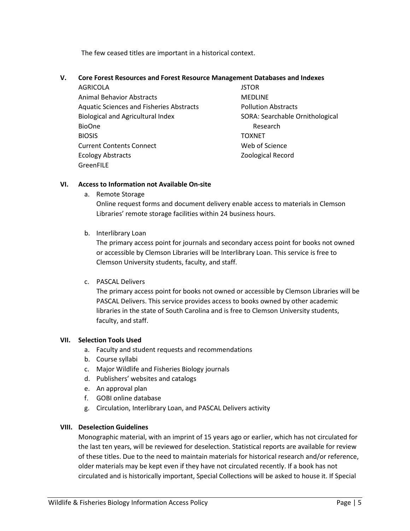The few ceased titles are important in a historical context.

#### **V. Core Forest Resources and Forest Resource Management Databases and Indexes**

AGRICOLA Animal Behavior Abstracts Aquatic Sciences and Fisheries Abstracts Biological and Agricultural Index BioOne BIOSIS Current Contents Connect Ecology Abstracts GreenFILE

**JSTOR** MEDLINE Pollution Abstracts SORA: Searchable Ornithological Research TOXNET Web of Science Zoological Record

### **VI. Access to Information not Available On-site**

a. Remote Storage

Online request forms and document delivery enable access to materials in Clemson Libraries' remote storage facilities within 24 business hours.

b. Interlibrary Loan

The primary access point for journals and secondary access point for books not owned or accessible by Clemson Libraries will be Interlibrary Loan. This service is free to Clemson University students, faculty, and staff.

c. PASCAL Delivers

The primary access point for books not owned or accessible by Clemson Libraries will be PASCAL Delivers. This service provides access to books owned by other academic libraries in the state of South Carolina and is free to Clemson University students, faculty, and staff.

# **VII. Selection Tools Used**

- a. Faculty and student requests and recommendations
- b. Course syllabi
- c. Major Wildlife and Fisheries Biology journals
- d. Publishers' websites and catalogs
- e. An approval plan
- f. GOBI online database
- g. Circulation, Interlibrary Loan, and PASCAL Delivers activity

### **VIII. Deselection Guidelines**

Monographic material, with an imprint of 15 years ago or earlier, which has not circulated for the last ten years, will be reviewed for deselection. Statistical reports are available for review of these titles. Due to the need to maintain materials for historical research and/or reference, older materials may be kept even if they have not circulated recently. If a book has not circulated and is historically important, Special Collections will be asked to house it. If Special